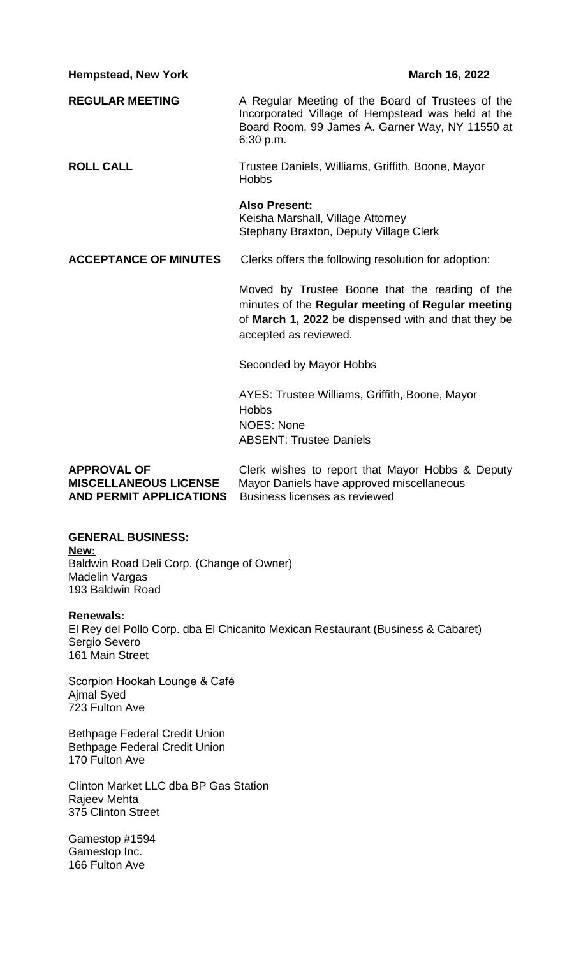**Hempstead, New York March 16, 2022** 

**REGULAR MEETING** A Regular Meeting of the Board of Trustees of the Incorporated Village of Hempstead was held at the Board Room, 99 James A. Garner Way, NY 11550 at 6:30 p.m.

**ROLL CALL** Trustee Daniels, Williams, Griffith, Boone, Mayor Hobbs

### **Also Present:**

Keisha Marshall, Village Attorney Stephany Braxton, Deputy Village Clerk

**ACCEPTANCE OF MINUTES** Clerks offers the following resolution for adoption:

Moved by Trustee Boone that the reading of the minutes of the **Regular meeting** of **Regular meeting** of **March 1, 2022** be dispensed with and that they be accepted as reviewed.

Seconded by Mayor Hobbs

AYES: Trustee Williams, Griffith, Boone, Mayor **Hobbs** NOES: None ABSENT: Trustee Daniels

**APPROVAL OF** Clerk wishes to report that Mayor Hobbs & Deputy **MISCELLANEOUS LICENSE** Mayor Daniels have approved miscellaneous **AND PERMIT APPLICATIONS** Business licenses as reviewed

**GENERAL BUSINESS: New:** Baldwin Road Deli Corp. (Change of Owner) Madelin Vargas 193 Baldwin Road

**Renewals:**

El Rey del Pollo Corp. dba El Chicanito Mexican Restaurant (Business & Cabaret) Sergio Severo 161 Main Street

Scorpion Hookah Lounge & Café Ajmal Syed 723 Fulton Ave

Bethpage Federal Credit Union Bethpage Federal Credit Union 170 Fulton Ave

Clinton Market LLC dba BP Gas Station Rajeev Mehta 375 Clinton Street

Gamestop #1594 Gamestop Inc. 166 Fulton Ave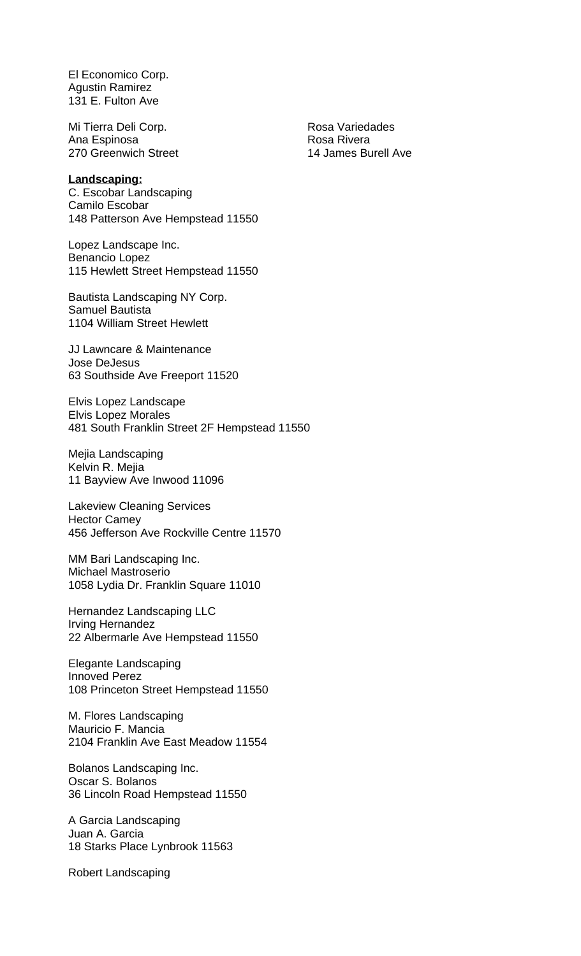El Economico Corp. Agustin Ramirez 131 E. Fulton Ave

Mi Tierra Deli Corp. Nosa Variedades Ana Espinosa **Rosa Rivera** Rosa Rivera 270 Greenwich Street 14 James Burell Ave

#### **Landscaping:**

C. Escobar Landscaping Camilo Escobar 148 Patterson Ave Hempstead 11550

Lopez Landscape Inc. Benancio Lopez 115 Hewlett Street Hempstead 11550

Bautista Landscaping NY Corp. Samuel Bautista 1104 William Street Hewlett

JJ Lawncare & Maintenance Jose DeJesus 63 Southside Ave Freeport 11520

Elvis Lopez Landscape Elvis Lopez Morales 481 South Franklin Street 2F Hempstead 11550

Mejia Landscaping Kelvin R. Mejia 11 Bayview Ave Inwood 11096

Lakeview Cleaning Services Hector Camey 456 Jefferson Ave Rockville Centre 11570

MM Bari Landscaping Inc. Michael Mastroserio 1058 Lydia Dr. Franklin Square 11010

Hernandez Landscaping LLC Irving Hernandez 22 Albermarle Ave Hempstead 11550

Elegante Landscaping Innoved Perez 108 Princeton Street Hempstead 11550

M. Flores Landscaping Mauricio F. Mancia 2104 Franklin Ave East Meadow 11554

Bolanos Landscaping Inc. Oscar S. Bolanos 36 Lincoln Road Hempstead 11550

A Garcia Landscaping Juan A. Garcia 18 Starks Place Lynbrook 11563

Robert Landscaping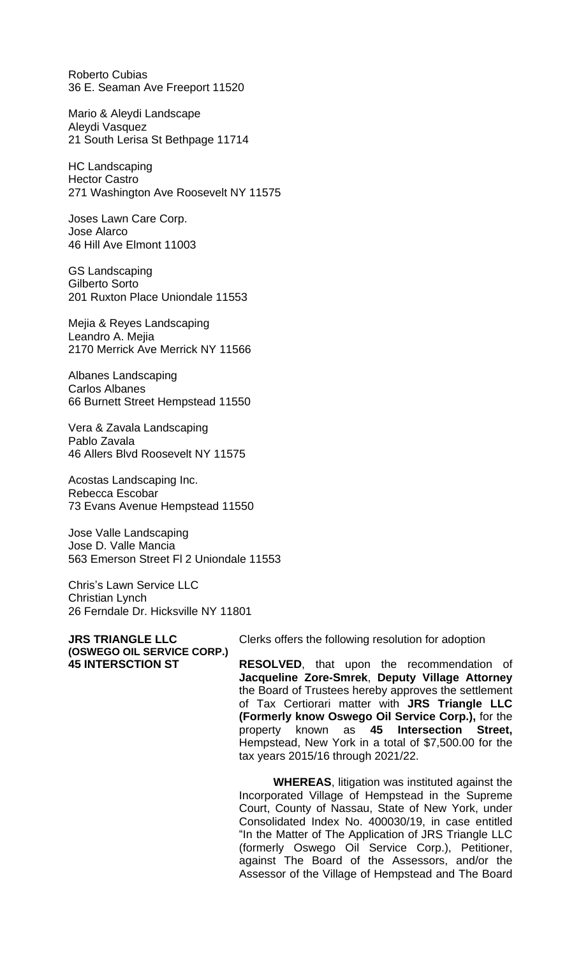Roberto Cubias 36 E. Seaman Ave Freeport 11520

Mario & Aleydi Landscape Aleydi Vasquez 21 South Lerisa St Bethpage 11714

HC Landscaping Hector Castro 271 Washington Ave Roosevelt NY 11575

Joses Lawn Care Corp. Jose Alarco 46 Hill Ave Elmont 11003

GS Landscaping Gilberto Sorto 201 Ruxton Place Uniondale 11553

Mejia & Reyes Landscaping Leandro A. Mejia 2170 Merrick Ave Merrick NY 11566

Albanes Landscaping Carlos Albanes 66 Burnett Street Hempstead 11550

Vera & Zavala Landscaping Pablo Zavala 46 Allers Blvd Roosevelt NY 11575

Acostas Landscaping Inc. Rebecca Escobar 73 Evans Avenue Hempstead 11550

Jose Valle Landscaping Jose D. Valle Mancia 563 Emerson Street Fl 2 Uniondale 11553

Chris's Lawn Service LLC Christian Lynch 26 Ferndale Dr. Hicksville NY 11801

**(OSWEGO OIL SERVICE CORP.)**

**JRS TRIANGLE LLC** Clerks offers the following resolution for adoption

**45 INTERSCTION ST RESOLVED**, that upon the recommendation of **Jacqueline Zore-Smrek**, **Deputy Village Attorney** the Board of Trustees hereby approves the settlement of Tax Certiorari matter with **JRS Triangle LLC (Formerly know Oswego Oil Service Corp.),** for the property known as **45 Intersection Street,** Hempstead, New York in a total of \$7,500.00 for the tax years 2015/16 through 2021/22.

> **WHEREAS**, litigation was instituted against the Incorporated Village of Hempstead in the Supreme Court, County of Nassau, State of New York, under Consolidated Index No. 400030/19, in case entitled "In the Matter of The Application of JRS Triangle LLC (formerly Oswego Oil Service Corp.), Petitioner, against The Board of the Assessors, and/or the Assessor of the Village of Hempstead and The Board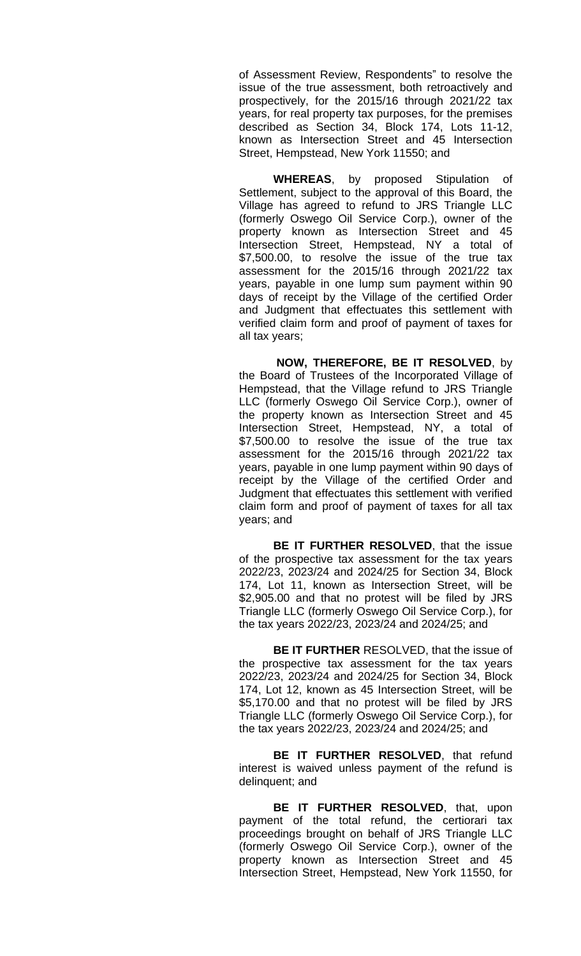of Assessment Review, Respondents" to resolve the issue of the true assessment, both retroactively and prospectively, for the 2015/16 through 2021/22 tax years, for real property tax purposes, for the premises described as Section 34, Block 174, Lots 11-12, known as Intersection Street and 45 Intersection Street, Hempstead, New York 11550; and

**WHEREAS**, by proposed Stipulation of Settlement, subject to the approval of this Board, the Village has agreed to refund to JRS Triangle LLC (formerly Oswego Oil Service Corp.), owner of the property known as Intersection Street and 45 Intersection Street, Hempstead, NY a total of \$7,500.00, to resolve the issue of the true tax assessment for the 2015/16 through 2021/22 tax years, payable in one lump sum payment within 90 days of receipt by the Village of the certified Order and Judgment that effectuates this settlement with verified claim form and proof of payment of taxes for all tax years;

**NOW, THEREFORE, BE IT RESOLVED**, by the Board of Trustees of the Incorporated Village of Hempstead, that the Village refund to JRS Triangle LLC (formerly Oswego Oil Service Corp.), owner of the property known as Intersection Street and 45 Intersection Street, Hempstead, NY, a total of \$7,500.00 to resolve the issue of the true tax assessment for the 2015/16 through 2021/22 tax years, payable in one lump payment within 90 days of receipt by the Village of the certified Order and Judgment that effectuates this settlement with verified claim form and proof of payment of taxes for all tax years; and

**BE IT FURTHER RESOLVED**, that the issue of the prospective tax assessment for the tax years 2022/23, 2023/24 and 2024/25 for Section 34, Block 174, Lot 11, known as Intersection Street, will be \$2,905.00 and that no protest will be filed by JRS Triangle LLC (formerly Oswego Oil Service Corp.), for the tax years 2022/23, 2023/24 and 2024/25; and

**BE IT FURTHER** RESOLVED, that the issue of the prospective tax assessment for the tax years 2022/23, 2023/24 and 2024/25 for Section 34, Block 174, Lot 12, known as 45 Intersection Street, will be \$5,170.00 and that no protest will be filed by JRS Triangle LLC (formerly Oswego Oil Service Corp.), for the tax years 2022/23, 2023/24 and 2024/25; and

**BE IT FURTHER RESOLVED**, that refund interest is waived unless payment of the refund is delinquent; and

**BE IT FURTHER RESOLVED**, that, upon payment of the total refund, the certiorari tax proceedings brought on behalf of JRS Triangle LLC (formerly Oswego Oil Service Corp.), owner of the property known as Intersection Street and 45 Intersection Street, Hempstead, New York 11550, for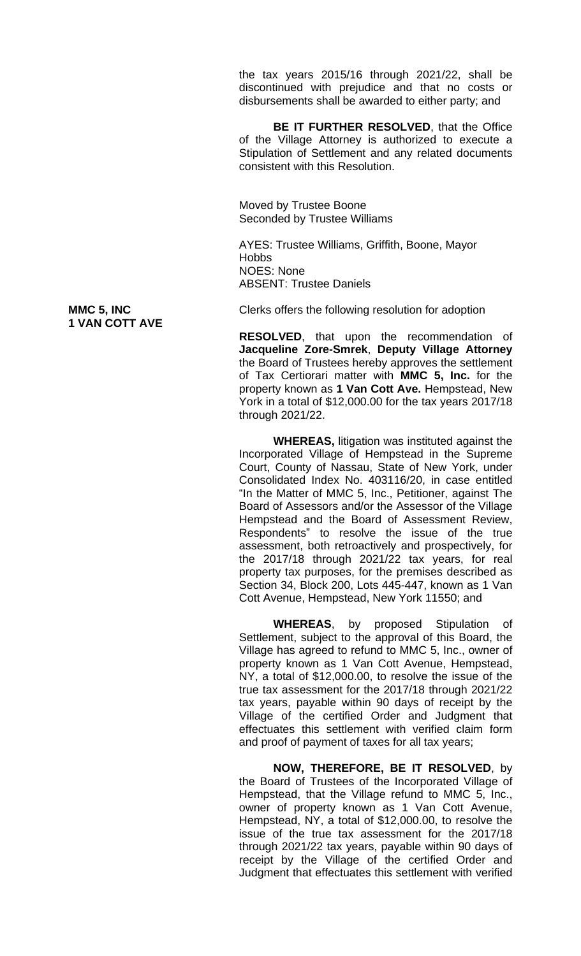the tax years 2015/16 through 2021/22, shall be discontinued with prejudice and that no costs or disbursements shall be awarded to either party; and

**BE IT FURTHER RESOLVED**, that the Office of the Village Attorney is authorized to execute a Stipulation of Settlement and any related documents consistent with this Resolution.

Moved by Trustee Boone Seconded by Trustee Williams

AYES: Trustee Williams, Griffith, Boone, Mayor **Hobbs** NOES: None ABSENT: Trustee Daniels

**1 VAN COTT AVE**

**MMC 5, INC** Clerks offers the following resolution for adoption

**RESOLVED**, that upon the recommendation of **Jacqueline Zore-Smrek**, **Deputy Village Attorney** the Board of Trustees hereby approves the settlement of Tax Certiorari matter with **MMC 5, Inc.** for the property known as **1 Van Cott Ave.** Hempstead, New York in a total of \$12,000.00 for the tax years 2017/18 through 2021/22.

**WHEREAS,** litigation was instituted against the Incorporated Village of Hempstead in the Supreme Court, County of Nassau, State of New York, under Consolidated Index No. 403116/20, in case entitled "In the Matter of MMC 5, Inc., Petitioner, against The Board of Assessors and/or the Assessor of the Village Hempstead and the Board of Assessment Review, Respondents" to resolve the issue of the true assessment, both retroactively and prospectively, for the 2017/18 through 2021/22 tax years, for real property tax purposes, for the premises described as Section 34, Block 200, Lots 445-447, known as 1 Van Cott Avenue, Hempstead, New York 11550; and

**WHEREAS**, by proposed Stipulation of Settlement, subject to the approval of this Board, the Village has agreed to refund to MMC 5, Inc., owner of property known as 1 Van Cott Avenue, Hempstead, NY, a total of \$12,000.00, to resolve the issue of the true tax assessment for the 2017/18 through 2021/22 tax years, payable within 90 days of receipt by the Village of the certified Order and Judgment that effectuates this settlement with verified claim form and proof of payment of taxes for all tax years;

**NOW, THEREFORE, BE IT RESOLVED**, by the Board of Trustees of the Incorporated Village of Hempstead, that the Village refund to MMC 5, Inc., owner of property known as 1 Van Cott Avenue, Hempstead, NY, a total of \$12,000.00, to resolve the issue of the true tax assessment for the 2017/18 through 2021/22 tax years, payable within 90 days of receipt by the Village of the certified Order and Judgment that effectuates this settlement with verified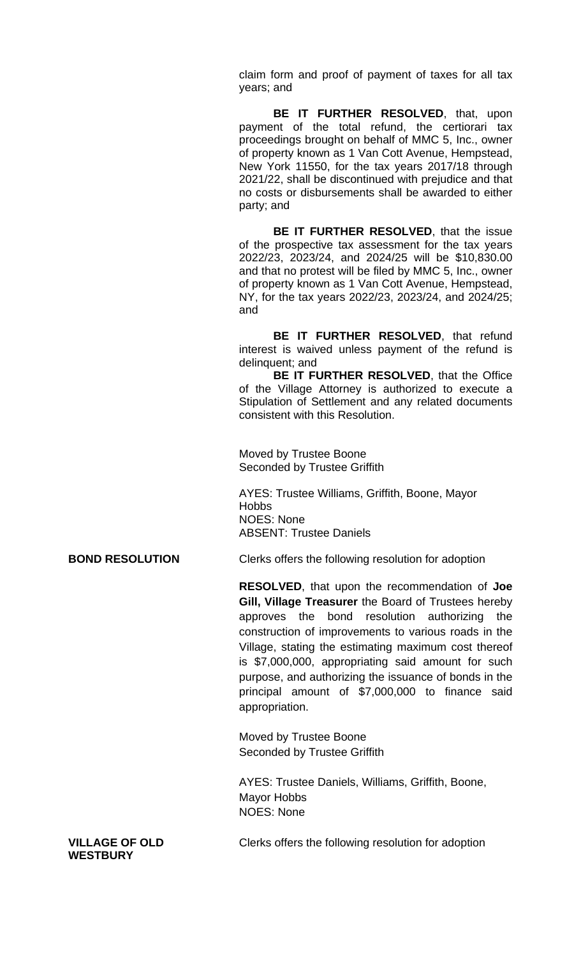claim form and proof of payment of taxes for all tax years; and

**BE IT FURTHER RESOLVED**, that, upon payment of the total refund, the certiorari tax proceedings brought on behalf of MMC 5, Inc., owner of property known as 1 Van Cott Avenue, Hempstead, New York 11550, for the tax years 2017/18 through 2021/22, shall be discontinued with prejudice and that no costs or disbursements shall be awarded to either party; and

**BE IT FURTHER RESOLVED**, that the issue of the prospective tax assessment for the tax years 2022/23, 2023/24, and 2024/25 will be \$10,830.00 and that no protest will be filed by MMC 5, Inc., owner of property known as 1 Van Cott Avenue, Hempstead, NY, for the tax years 2022/23, 2023/24, and 2024/25; and

**BE IT FURTHER RESOLVED**, that refund interest is waived unless payment of the refund is delinquent; and

**BE IT FURTHER RESOLVED**, that the Office of the Village Attorney is authorized to execute a Stipulation of Settlement and any related documents consistent with this Resolution.

Moved by Trustee Boone Seconded by Trustee Griffith

AYES: Trustee Williams, Griffith, Boone, Mayor **Hobbs** NOES: None ABSENT: Trustee Daniels

**BOND RESOLUTION** Clerks offers the following resolution for adoption

**RESOLVED**, that upon the recommendation of **Joe Gill, Village Treasurer** the Board of Trustees hereby approves the bond resolution authorizing the construction of improvements to various roads in the Village, stating the estimating maximum cost thereof is \$7,000,000, appropriating said amount for such purpose, and authorizing the issuance of bonds in the principal amount of \$7,000,000 to finance said appropriation.

Moved by Trustee Boone Seconded by Trustee Griffith

AYES: Trustee Daniels, Williams, Griffith, Boone, Mayor Hobbs NOES: None

**WESTBURY**

**VILLAGE OF OLD** Clerks offers the following resolution for adoption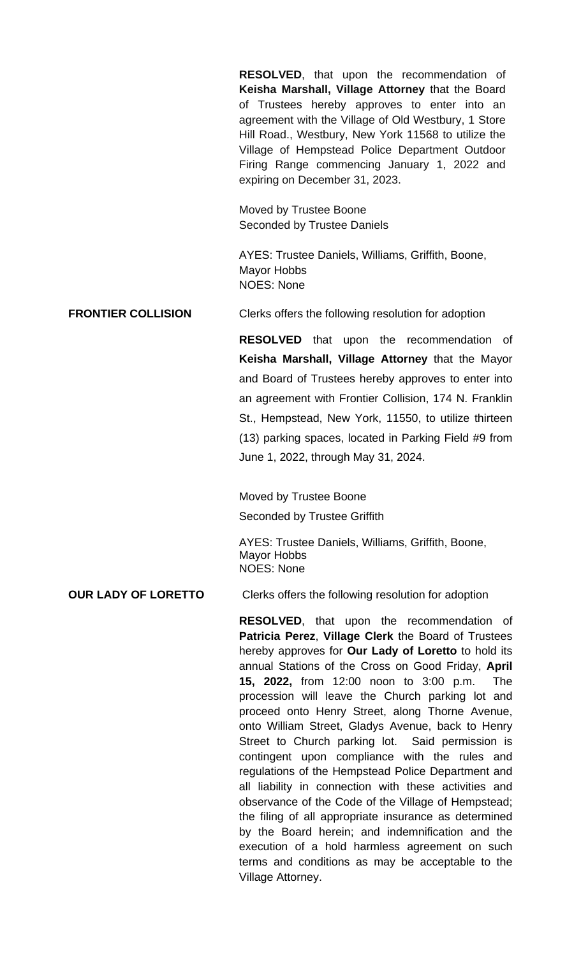**RESOLVED**, that upon the recommendation of **Keisha Marshall, Village Attorney** that the Board of Trustees hereby approves to enter into an agreement with the Village of Old Westbury, 1 Store Hill Road., Westbury, New York 11568 to utilize the Village of Hempstead Police Department Outdoor Firing Range commencing January 1, 2022 and expiring on December 31, 2023.

Moved by Trustee Boone Seconded by Trustee Daniels

AYES: Trustee Daniels, Williams, Griffith, Boone, Mayor Hobbs NOES: None

**FRONTIER COLLISION** Clerks offers the following resolution for adoption

**RESOLVED** that upon the recommendation of **Keisha Marshall, Village Attorney** that the Mayor and Board of Trustees hereby approves to enter into an agreement with Frontier Collision, 174 N. Franklin St., Hempstead, New York, 11550, to utilize thirteen (13) parking spaces, located in Parking Field #9 from June 1, 2022, through May 31, 2024.

Moved by Trustee Boone Seconded by Trustee Griffith

AYES: Trustee Daniels, Williams, Griffith, Boone, Mayor Hobbs NOES: None

### **OUR LADY OF LORETTO** Clerks offers the following resolution for adoption

**RESOLVED**, that upon the recommendation of **Patricia Perez**, **Village Clerk** the Board of Trustees hereby approves for **Our Lady of Loretto** to hold its annual Stations of the Cross on Good Friday, **April 15, 2022,** from 12:00 noon to 3:00 p.m. The procession will leave the Church parking lot and proceed onto Henry Street, along Thorne Avenue, onto William Street, Gladys Avenue, back to Henry Street to Church parking lot. Said permission is contingent upon compliance with the rules and regulations of the Hempstead Police Department and all liability in connection with these activities and observance of the Code of the Village of Hempstead; the filing of all appropriate insurance as determined by the Board herein; and indemnification and the execution of a hold harmless agreement on such terms and conditions as may be acceptable to the Village Attorney.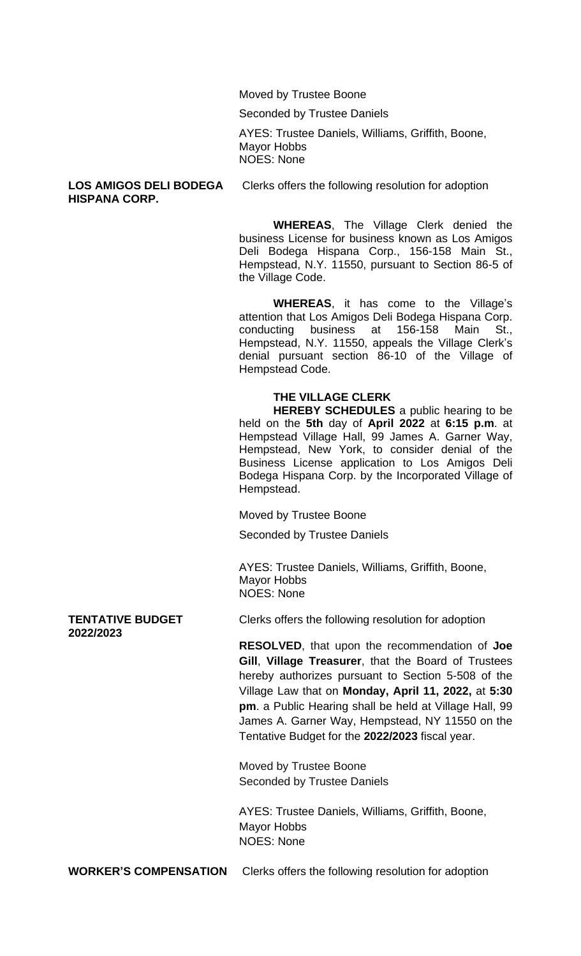Moved by Trustee Boone

Seconded by Trustee Daniels

AYES: Trustee Daniels, Williams, Griffith, Boone, Mayor Hobbs NOES: None

### **HISPANA CORP.**

**LOS AMIGOS DELI BODEGA** Clerks offers the following resolution for adoption

**WHEREAS**, The Village Clerk denied the business License for business known as Los Amigos Deli Bodega Hispana Corp., 156-158 Main St., Hempstead, N.Y. 11550, pursuant to Section 86-5 of the Village Code.

**WHEREAS**, it has come to the Village's attention that Los Amigos Deli Bodega Hispana Corp. conducting business at 156-158 Main St., Hempstead, N.Y. 11550, appeals the Village Clerk's denial pursuant section 86-10 of the Village of Hempstead Code.

### **THE VILLAGE CLERK**

**HEREBY SCHEDULES** a public hearing to be held on the **5th** day of **April 2022** at **6:15 p.m**. at Hempstead Village Hall, 99 James A. Garner Way, Hempstead, New York, to consider denial of the Business License application to Los Amigos Deli Bodega Hispana Corp. by the Incorporated Village of Hempstead.

Moved by Trustee Boone

Seconded by Trustee Daniels

AYES: Trustee Daniels, Williams, Griffith, Boone, Mayor Hobbs NOES: None

## **2022/2023**

**TENTATIVE BUDGET** Clerks offers the following resolution for adoption

**RESOLVED**, that upon the recommendation of **Joe Gill**, **Village Treasurer**, that the Board of Trustees hereby authorizes pursuant to Section 5-508 of the Village Law that on **Monday, April 11, 2022,** at **5:30 pm**. a Public Hearing shall be held at Village Hall, 99 James A. Garner Way, Hempstead, NY 11550 on the Tentative Budget for the **2022/2023** fiscal year.

Moved by Trustee Boone Seconded by Trustee Daniels

AYES: Trustee Daniels, Williams, Griffith, Boone, Mayor Hobbs NOES: None

**WORKER'S COMPENSATION** Clerks offers the following resolution for adoption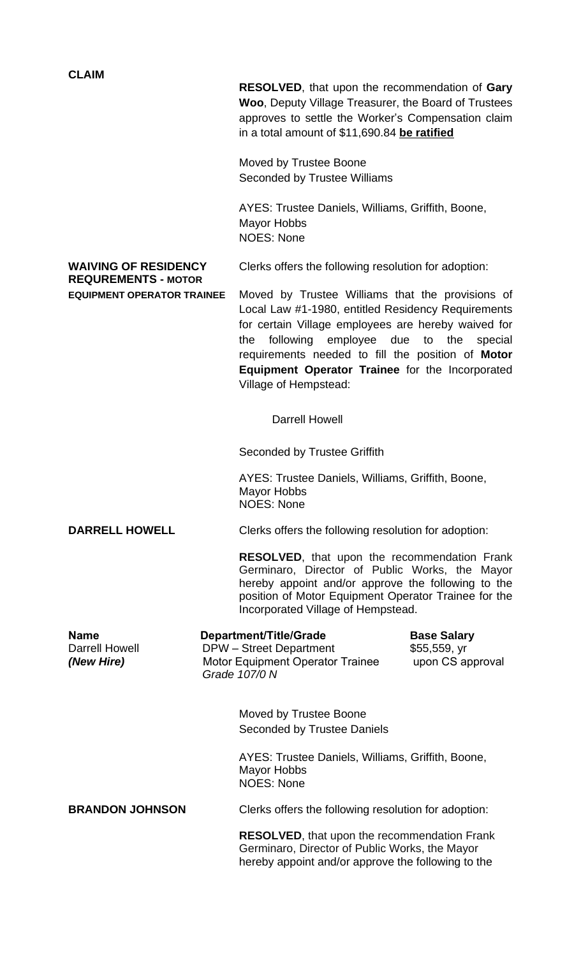**CLAIM**

**RESOLVED**, that upon the recommendation of **Gary Woo**, Deputy Village Treasurer, the Board of Trustees approves to settle the Worker's Compensation claim in a total amount of \$11,690.84 **be ratified**

Moved by Trustee Boone Seconded by Trustee Williams

AYES: Trustee Daniels, Williams, Griffith, Boone, Mayor Hobbs NOES: None

# **REQUREMENTS - MOTOR**

**WAIVING OF RESIDENCY** Clerks offers the following resolution for adoption:

**EQUIPMENT OPERATOR TRAINEE** Moved by Trustee Williams that the provisions of Local Law #1-1980, entitled Residency Requirements for certain Village employees are hereby waived for the following employee due to the special requirements needed to fill the position of **Motor Equipment Operator Trainee** for the Incorporated Village of Hempstead:

Darrell Howell

Seconded by Trustee Griffith

AYES: Trustee Daniels, Williams, Griffith, Boone, Mayor Hobbs NOES: None

**DARRELL HOWELL** Clerks offers the following resolution for adoption:

**RESOLVED**, that upon the recommendation Frank Germinaro, Director of Public Works, the Mayor hereby appoint and/or approve the following to the position of Motor Equipment Operator Trainee for the Incorporated Village of Hempstead.

**Name Base Salary Department/Title/Grade Base Salary<br>Darrell Howell <b>DPW** – Street Department \$55,559, vr DPW – Street Department \$55,559, yr *(New Hire)* Motor Equipment Operator Trainee upon CS approval  *Grade 107/0 N*

Moved by Trustee Boone Seconded by Trustee Daniels

AYES: Trustee Daniels, Williams, Griffith, Boone, Mayor Hobbs NOES: None

**BRANDON JOHNSON** Clerks offers the following resolution for adoption:

**RESOLVED**, that upon the recommendation Frank Germinaro, Director of Public Works, the Mayor hereby appoint and/or approve the following to the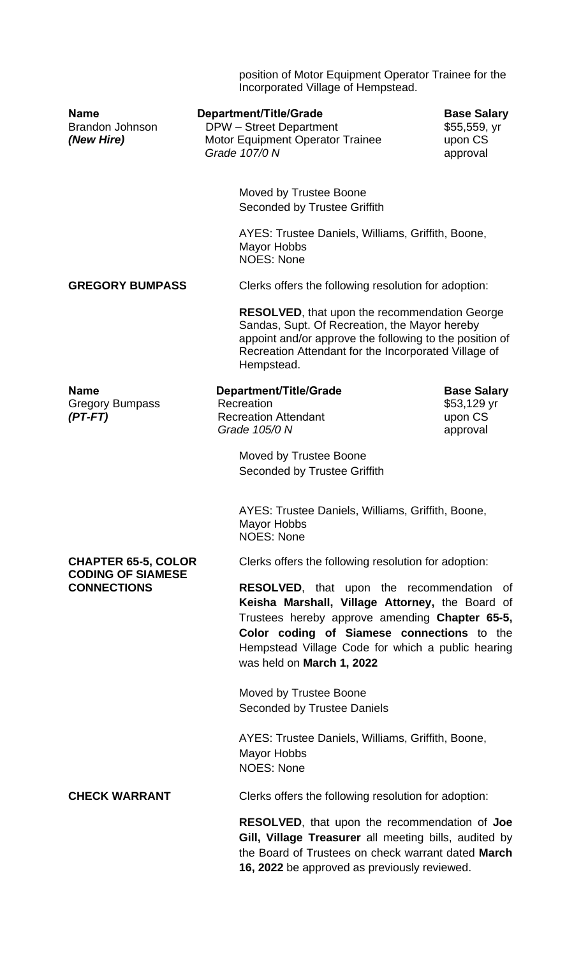position of Motor Equipment Operator Trainee for the Incorporated Village of Hempstead.

| <b>Name</b><br><b>Brandon Johnson</b><br>(New Hire)                          | Department/Title/Grade<br><b>DPW</b> – Street Department<br>Motor Equipment Operator Trainee<br>Grade 107/0 N                                                                                                       | <b>Base Salary</b><br>\$55,559, yr<br>upon CS<br>approval                                                                                                                                                                                         |  |
|------------------------------------------------------------------------------|---------------------------------------------------------------------------------------------------------------------------------------------------------------------------------------------------------------------|---------------------------------------------------------------------------------------------------------------------------------------------------------------------------------------------------------------------------------------------------|--|
|                                                                              | Moved by Trustee Boone<br>Seconded by Trustee Griffith                                                                                                                                                              |                                                                                                                                                                                                                                                   |  |
|                                                                              | <b>Mayor Hobbs</b><br><b>NOES: None</b>                                                                                                                                                                             | AYES: Trustee Daniels, Williams, Griffith, Boone,                                                                                                                                                                                                 |  |
| <b>GREGORY BUMPASS</b>                                                       |                                                                                                                                                                                                                     | Clerks offers the following resolution for adoption:                                                                                                                                                                                              |  |
|                                                                              | Hempstead.                                                                                                                                                                                                          | <b>RESOLVED, that upon the recommendation George</b><br>Sandas, Supt. Of Recreation, the Mayor hereby<br>appoint and/or approve the following to the position of<br>Recreation Attendant for the Incorporated Village of                          |  |
| <b>Name</b><br><b>Gregory Bumpass</b><br>$(PT-FT)$                           | Department/Title/Grade<br>Recreation<br><b>Recreation Attendant</b>                                                                                                                                                 | <b>Base Salary</b><br>\$53,129 yr<br>upon CS                                                                                                                                                                                                      |  |
|                                                                              | Grade 105/0 N                                                                                                                                                                                                       | approval                                                                                                                                                                                                                                          |  |
|                                                                              | Moved by Trustee Boone<br><b>Seconded by Trustee Griffith</b>                                                                                                                                                       |                                                                                                                                                                                                                                                   |  |
|                                                                              | AYES: Trustee Daniels, Williams, Griffith, Boone,<br>Mayor Hobbs<br><b>NOES: None</b>                                                                                                                               |                                                                                                                                                                                                                                                   |  |
| <b>CHAPTER 65-5, COLOR</b><br><b>CODING OF SIAMESE</b><br><b>CONNECTIONS</b> |                                                                                                                                                                                                                     | Clerks offers the following resolution for adoption:                                                                                                                                                                                              |  |
|                                                                              | was held on March 1, 2022                                                                                                                                                                                           | RESOLVED, that upon the recommendation of<br>Keisha Marshall, Village Attorney, the Board of<br>Trustees hereby approve amending Chapter 65-5,<br>Color coding of Siamese connections to the<br>Hempstead Village Code for which a public hearing |  |
|                                                                              | Moved by Trustee Boone                                                                                                                                                                                              | <b>Seconded by Trustee Daniels</b>                                                                                                                                                                                                                |  |
|                                                                              | AYES: Trustee Daniels, Williams, Griffith, Boone,<br><b>Mayor Hobbs</b><br><b>NOES: None</b>                                                                                                                        |                                                                                                                                                                                                                                                   |  |
| <b>CHECK WARRANT</b>                                                         |                                                                                                                                                                                                                     | Clerks offers the following resolution for adoption:                                                                                                                                                                                              |  |
|                                                                              | <b>RESOLVED, that upon the recommendation of Joe</b><br>Gill, Village Treasurer all meeting bills, audited by<br>the Board of Trustees on check warrant dated March<br>16, 2022 be approved as previously reviewed. |                                                                                                                                                                                                                                                   |  |